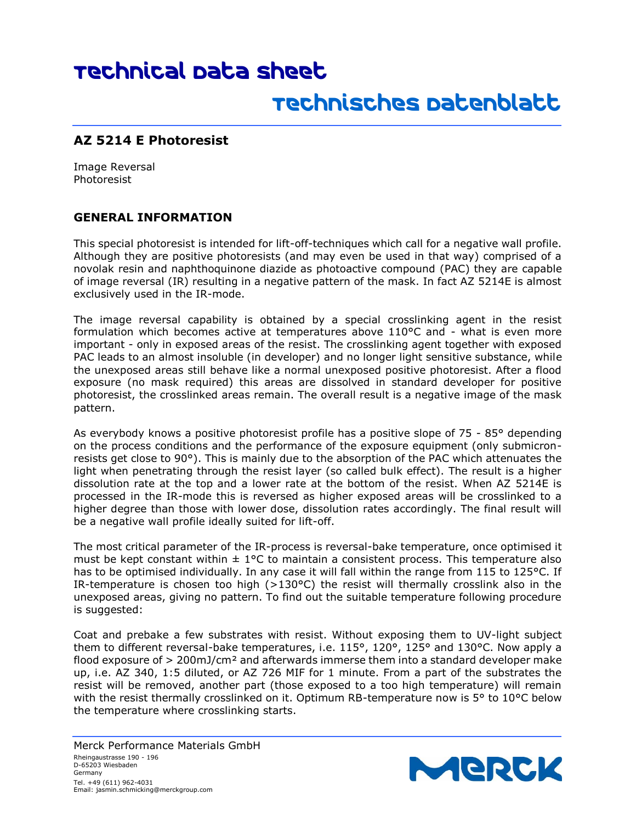## Technical Data Sheet

## Technisches Datenblatt

#### **AZ 5214 E Photoresist**

Image Reversal Photoresist

#### **GENERAL INFORMATION**

This special photoresist is intended for lift-off-techniques which call for a negative wall profile. Although they are positive photoresists (and may even be used in that way) comprised of a novolak resin and naphthoquinone diazide as photoactive compound (PAC) they are capable of image reversal (IR) resulting in a negative pattern of the mask. In fact AZ 5214E is almost exclusively used in the IR-mode.

The image reversal capability is obtained by a special crosslinking agent in the resist formulation which becomes active at temperatures above 110°C and - what is even more important - only in exposed areas of the resist. The crosslinking agent together with exposed PAC leads to an almost insoluble (in developer) and no longer light sensitive substance, while the unexposed areas still behave like a normal unexposed positive photoresist. After a flood exposure (no mask required) this areas are dissolved in standard developer for positive photoresist, the crosslinked areas remain. The overall result is a negative image of the mask pattern.

As everybody knows a positive photoresist profile has a positive slope of 75 - 85° depending on the process conditions and the performance of the exposure equipment (only submicronresists get close to 90°). This is mainly due to the absorption of the PAC which attenuates the light when penetrating through the resist layer (so called bulk effect). The result is a higher dissolution rate at the top and a lower rate at the bottom of the resist. When AZ 5214E is processed in the IR-mode this is reversed as higher exposed areas will be crosslinked to a higher degree than those with lower dose, dissolution rates accordingly. The final result will be a negative wall profile ideally suited for lift-off.

The most critical parameter of the IR-process is reversal-bake temperature, once optimised it must be kept constant within  $\pm 1^{\circ}$ C to maintain a consistent process. This temperature also has to be optimised individually. In any case it will fall within the range from 115 to 125°C. If IR-temperature is chosen too high  $(>130^{\circ}C)$  the resist will thermally crosslink also in the unexposed areas, giving no pattern. To find out the suitable temperature following procedure is suggested:

Coat and prebake a few substrates with resist. Without exposing them to UV-light subject them to different reversal-bake temperatures, i.e. 115°, 120°, 125° and 130°C. Now apply a flood exposure of > 200mJ/cm² and afterwards immerse them into a standard developer make up, i.e. AZ 340, 1:5 diluted, or AZ 726 MIF for 1 minute. From a part of the substrates the resist will be removed, another part (those exposed to a too high temperature) will remain with the resist thermally crosslinked on it. Optimum RB-temperature now is 5° to 10°C below the temperature where crosslinking starts.

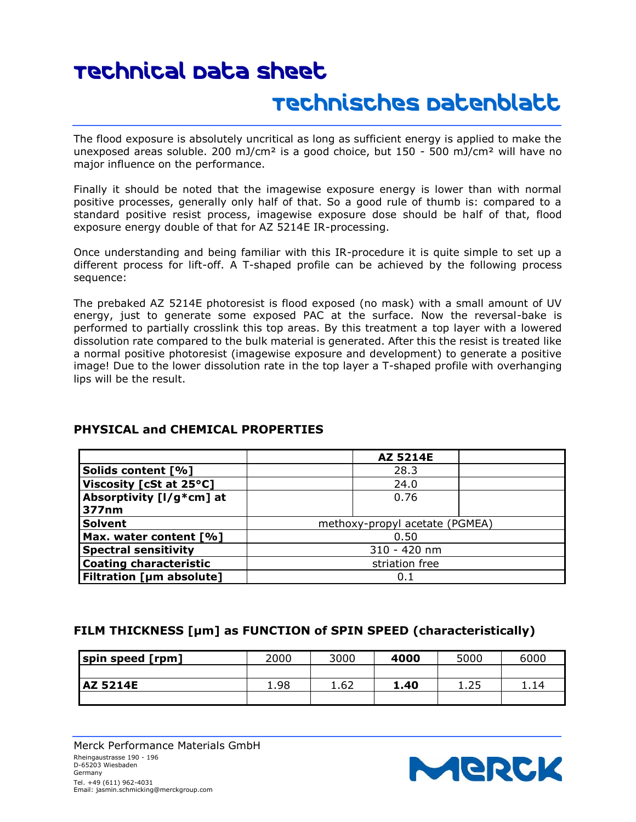# Technical Data Sheet

### Technisches Datenblatt

The flood exposure is absolutely uncritical as long as sufficient energy is applied to make the unexposed areas soluble. 200 mJ/cm<sup>2</sup> is a good choice, but  $150 - 500$  mJ/cm<sup>2</sup> will have no major influence on the performance.

Finally it should be noted that the imagewise exposure energy is lower than with normal positive processes, generally only half of that. So a good rule of thumb is: compared to a standard positive resist process, imagewise exposure dose should be half of that, flood exposure energy double of that for AZ 5214E IR-processing.

Once understanding and being familiar with this IR-procedure it is quite simple to set up a different process for lift-off. A T-shaped profile can be achieved by the following process sequence:

The prebaked AZ 5214E photoresist is flood exposed (no mask) with a small amount of UV energy, just to generate some exposed PAC at the surface. Now the reversal-bake is performed to partially crosslink this top areas. By this treatment a top layer with a lowered dissolution rate compared to the bulk material is generated. After this the resist is treated like a normal positive photoresist (imagewise exposure and development) to generate a positive image! Due to the lower dissolution rate in the top layer a T-shaped profile with overhanging lips will be the result.

|                                 | AZ 5214E                       |  |  |
|---------------------------------|--------------------------------|--|--|
| Solids content [%]              | 28.3                           |  |  |
| Viscosity [cSt at 25°C]         | 24.0                           |  |  |
| Absorptivity [I/g*cm] at        | 0.76                           |  |  |
| 377nm                           |                                |  |  |
| <b>Solvent</b>                  | methoxy-propyl acetate (PGMEA) |  |  |
| Max. water content [%]          | 0.50                           |  |  |
| <b>Spectral sensitivity</b>     | 310 - 420 nm                   |  |  |
| <b>Coating characteristic</b>   | striation free                 |  |  |
| <b>Filtration [µm absolute]</b> | 0.1                            |  |  |

#### **PHYSICAL and CHEMICAL PROPERTIES**

#### **FILM THICKNESS [µm] as FUNCTION of SPIN SPEED (characteristically)**

| spin speed [rpm] | 2000 | 3000 | 4000 | 5000 | 6000 |
|------------------|------|------|------|------|------|
|                  |      |      |      |      |      |
| <b>AZ 5214E</b>  | 1.98 | 1.62 | 1.40 | 1.25 | 1.14 |
|                  |      |      |      |      |      |